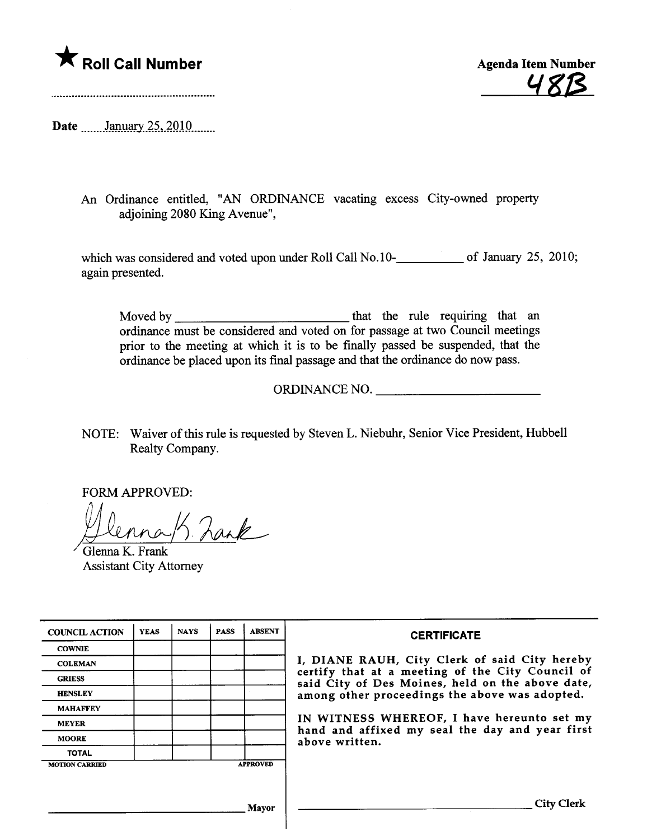

A Roll Call Number<br>Agenda Item Number<br>Agenda Item Number

Date manuary 25, 2010

An Ordinance entitled, "AN ORDINANCE vacating excess City-owned propert adjoining 2080 King Avenue",

which was considered and voted upon under Roll Call No.10-**\_\_\_\_\_\_\_\_\_** of January 25, 2010; again presented.

Moved by  $\frac{1}{\sqrt{1-\frac{1}{\sqrt{1-\frac{1}{\sqrt{1-\frac{1}{\sqrt{1-\frac{1}{\sqrt{1-\frac{1}{\sqrt{1-\frac{1}{\sqrt{1-\frac{1}{\sqrt{1-\frac{1}{\sqrt{1-\frac{1}{\sqrt{1-\frac{1}{\sqrt{1-\frac{1}{\sqrt{1-\frac{1}{\sqrt{1-\frac{1}{\sqrt{1-\frac{1}{\sqrt{1-\frac{1}{\sqrt{1-\frac{1}{\sqrt{1-\frac{1}{\sqrt{1-\frac{1}{\sqrt{1-\frac{1}{\sqrt{1-\frac{1}{\sqrt{1-\frac{1}{\sqrt{1-\frac{1}{\sqrt{1-\frac{1$ ordinance must be considered and voted on for passage at two Council meetings prior to the meeting at which it is to be finally passed be suspended, that the ordinance be placed upon its final passage and that the ordinance do now pass.

ORDINANCE NO.

NOTE: Waiver of this rule is requested by Steven L. Niebuhr, Senior Vice President, Hubbell Realty Company.

FORM APPROVED:<br>Ulmna / Lank

**Assistant City Attorney** 

| <b>COUNCIL ACTION</b> | <b>YEAS</b> | <b>NAYS</b> | <b>PASS</b> | <b>ABSENT</b>   | <b>CERTIFICATE</b>                                                                                                                                                                                                                                                                                                         |
|-----------------------|-------------|-------------|-------------|-----------------|----------------------------------------------------------------------------------------------------------------------------------------------------------------------------------------------------------------------------------------------------------------------------------------------------------------------------|
| <b>COWNIE</b>         |             |             |             |                 | I, DIANE RAUH, City Clerk of said City hereby<br>certify that at a meeting of the City Council of<br>said City of Des Moines, held on the above date,<br>among other proceedings the above was adopted.<br>IN WITNESS WHEREOF, I have hereunto set my<br>hand and affixed my seal the day and year first<br>above written. |
| <b>COLEMAN</b>        |             |             |             |                 |                                                                                                                                                                                                                                                                                                                            |
| <b>GRIESS</b>         |             |             |             |                 |                                                                                                                                                                                                                                                                                                                            |
| <b>HENSLEY</b>        |             |             |             |                 |                                                                                                                                                                                                                                                                                                                            |
| <b>MAHAFFEY</b>       |             |             |             |                 |                                                                                                                                                                                                                                                                                                                            |
| <b>MEYER</b>          |             |             |             |                 |                                                                                                                                                                                                                                                                                                                            |
| <b>MOORE</b>          |             |             |             |                 |                                                                                                                                                                                                                                                                                                                            |
| <b>TOTAL</b>          |             |             |             |                 |                                                                                                                                                                                                                                                                                                                            |
| <b>MOTION CARRIED</b> |             |             |             | <b>APPROVED</b> |                                                                                                                                                                                                                                                                                                                            |
|                       |             |             |             |                 |                                                                                                                                                                                                                                                                                                                            |
|                       |             |             |             | Mayor           | City Clerk                                                                                                                                                                                                                                                                                                                 |